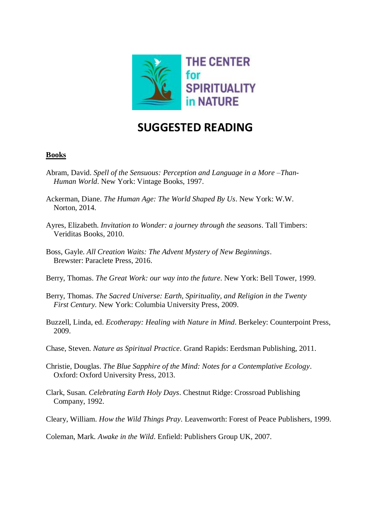

## **SUGGESTED READING**

## **Books**

- Abram, David. *Spell of the Sensuous: Perception and Language in a More –Than- Human World*. New York: Vintage Books, 1997.
- Ackerman, Diane. *The Human Age: The World Shaped By Us*. New York: W.W. Norton, 2014.
- Ayres, Elizabeth. *Invitation to Wonder: a journey through the seasons*. Tall Timbers: Veriditas Books, 2010.
- Boss, Gayle. *All Creation Waits: The Advent Mystery of New Beginnings*. Brewster: Paraclete Press, 2016.
- Berry, Thomas. *The Great Work: our way into the future*. New York: Bell Tower, 1999.
- Berry, Thomas. *The Sacred Universe: Earth, Spirituality, and Religion in the Twenty First Century.* New York: Columbia University Press, 2009.
- Buzzell, Linda, ed. *Ecotherapy: Healing with Nature in Mind*. Berkeley: Counterpoint Press, 2009.
- Chase, Steven. *Nature as Spiritual Practice*. Grand Rapids: Eerdsman Publishing, 2011.
- Christie, Douglas. *The Blue Sapphire of the Mind: Notes for a Contemplative Ecology*. Oxford: Oxford University Press, 2013.
- Clark, Susan. *Celebrating Earth Holy Days*. Chestnut Ridge: Crossroad Publishing Company, 1992.
- Cleary, William. *How the Wild Things Pray*. Leavenworth: Forest of Peace Publishers, 1999.

Coleman, Mark. *Awake in the Wild*. Enfield: Publishers Group UK, 2007.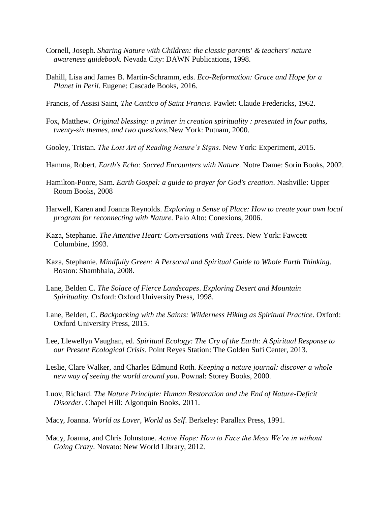- Cornell, Joseph. *Sharing Nature with Children: the classic parents' & teachers' nature awareness guidebook*. Nevada City: DAWN Publications, 1998.
- Dahill, Lisa and James B. Martin-Schramm, eds. *Eco-Reformation: Grace and Hope for a Planet in Peril.* Eugene: Cascade Books, 2016.
- Francis, of Assisi Saint, *The Cantico of Saint Francis*. Pawlet: Claude Fredericks, 1962.
- Fox, Matthew. *Original blessing: a primer in creation spirituality : presented in four paths, twenty-six themes, and two questions.*New York: Putnam, 2000.
- Gooley, Tristan. *The Lost Art of Reading Nature's Signs*. New York: Experiment, 2015.
- Hamma, Robert. *Earth's Echo: Sacred Encounters with Nature*. Notre Dame: Sorin Books, 2002.
- Hamilton-Poore, Sam. *Earth Gospel: a guide to prayer for God's creation*. Nashville: Upper Room Books, 2008
- Harwell, Karen and Joanna Reynolds. *Exploring a Sense of Place: How to create your own local program for reconnecting with Nature.* Palo Alto: Conexions, 2006.
- Kaza, Stephanie. *The Attentive Heart: Conversations with Trees*. New York: Fawcett Columbine, 1993.
- Kaza, Stephanie. *Mindfully Green: A Personal and Spiritual Guide to Whole Earth Thinking*. Boston: Shambhala, 2008.
- Lane, Belden C. *The Solace of Fierce Landscapes*. *Exploring Desert and Mountain Spirituality*. Oxford: Oxford University Press, 1998.
- Lane, Belden, C. *Backpacking with the Saints: Wilderness Hiking as Spiritual Practice*. Oxford: Oxford University Press, 2015.
- Lee, Llewellyn Vaughan, ed. *Spiritual Ecology: The Cry of the Earth: A Spiritual Response to our Present Ecological Crisis*. Point Reyes Station: The Golden Sufi Center, 2013.
- Leslie, Clare Walker, and Charles Edmund Roth. *Keeping a nature journal: discover a whole new way of seeing the world around you*. Pownal: Storey Books, 2000.
- Luov, Richard. *The Nature Principle: Human Restoration and the End of Nature-Deficit Disorder*. Chapel Hill: Algonquin Books, 2011.
- Macy, Joanna. *World as Lover, World as Self*. Berkeley: Parallax Press, 1991.
- Macy, Joanna, and Chris Johnstone. *Active Hope: How to Face the Mess We're in without Going Crazy*. Novato: New World Library, 2012.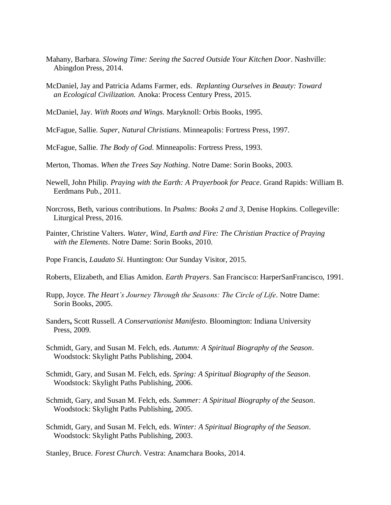- Mahany, Barbara. *Slowing Time: Seeing the Sacred Outside Your Kitchen Door*. Nashville: Abingdon Press, 2014.
- McDaniel, Jay and Patricia Adams Farmer, eds. *Replanting Ourselves in Beauty: Toward an Ecological Civilization.* Anoka: Process Century Press, 2015.
- McDaniel, Jay. *With Roots and Wings.* Maryknoll: Orbis Books, 1995.
- McFague, Sallie. *Super, Natural Christians*. Minneapolis: Fortress Press, 1997.

McFague, Sallie. *The Body of God.* Minneapolis: Fortress Press, 1993.

- Merton, Thomas. *When the Trees Say Nothing*. Notre Dame: Sorin Books, 2003.
- Newell, John Philip. *Praying with the Earth: A Prayerbook for Peace*. Grand Rapids: William B. Eerdmans Pub., 2011.
- Norcross, Beth, various contributions. In *Psalms: Books 2 and 3,* Denise Hopkins. Collegeville: Liturgical Press, 2016.
- Painter, Christine Valters. *Water, Wind, Earth and Fire: The Christian Practice of Praying with the Elements*. Notre Dame: Sorin Books, 2010.
- Pope Francis, *Laudato Si*. Huntington: Our Sunday Visitor, 2015.
- Roberts, Elizabeth, and Elias Amidon. *Earth Prayers*. San Francisco: HarperSanFrancisco, 1991.
- Rupp, Joyce. *The Heart's Journey Through the Seasons: The Circle of Life*. Notre Dame: Sorin Books, 2005.
- Sanders**,** Scott Russell. *A Conservationist Manifesto*. Bloomington: Indiana University Press, 2009.
- Schmidt, Gary, and Susan M. Felch, eds. *Autumn: A Spiritual Biography of the Season*. Woodstock: Skylight Paths Publishing, 2004.
- Schmidt, Gary, and Susan M. Felch, eds. *Spring: A Spiritual Biography of the Season*. Woodstock: Skylight Paths Publishing, 2006.
- Schmidt, Gary, and Susan M. Felch, eds. *Summer: A Spiritual Biography of the Season*. Woodstock: Skylight Paths Publishing, 2005.
- Schmidt, Gary, and Susan M. Felch, eds. *Winter: A Spiritual Biography of the Season*. Woodstock: Skylight Paths Publishing, 2003.

Stanley, Bruce. *Forest Church*. Vestra: Anamchara Books, 2014.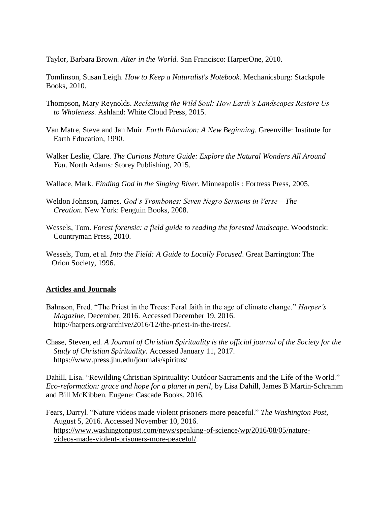Taylor, Barbara Brown. *Alter in the World.* San Francisco: HarperOne, 2010.

Tomlinson, Susan Leigh. *How to Keep a Naturalist's Notebook.* Mechanicsburg: Stackpole Books, 2010.

- Thompson**,** Mary Reynolds. *Reclaiming the Wild Soul: How Earth's Landscapes Restore Us to Wholeness*. Ashland: White Cloud Press, 2015.
- Van Matre, Steve and Jan Muir. *Earth Education: A New Beginning*. Greenville: Institute for Earth Education, 1990.
- Walker Leslie, Clare. *The Curious Nature Guide: Explore the Natural Wonders All Around You*. North Adams: Storey Publishing, 2015.
- Wallace, Mark. *Finding God in the Singing River*. Minneapolis : Fortress Press, 2005.
- Weldon Johnson, James. *God's Trombones: Seven Negro Sermons in Verse – The Creation*. New York: Penguin Books, 2008.
- Wessels, Tom. *Forest forensic: a field guide to reading the forested landscape*. Woodstock: Countryman Press, 2010.
- Wessels, Tom, et al. *Into the Field: A Guide to Locally Focused*. Great Barrington: The Orion Society, 1996.

## **Articles and Journals**

- Bahnson, Fred. "The Priest in the Trees: Feral faith in the age of climate change." *Harper's Magazine*, December, 2016. Accessed December 19, 2016. [http://harpers.org/archive/2016/12/the-priest-in-the-trees/.](http://harpers.org/archive/2016/12/the-priest-in-the-trees/)
- Chase, Steven, ed*. A Journal of Christian Spirituality is the official journal of the Society for the Study of Christian Spirituality*. Accessed January 11, 2017. <https://www.press.jhu.edu/journals/spiritus/>

Dahill, Lisa. "Rewilding Christian Spirituality: Outdoor Sacraments and the Life of the World." *Eco-reformation: grace and hope for a planet in peril*, by Lisa Dahill, James B Martin-Schramm and Bill McKibben. Eugene: Cascade Books, 2016.

Fears, Darryl. "Nature videos made violent prisoners more peaceful." *The Washington Post*, August 5, 2016. Accessed November 10, 2016. [https://www.washingtonpost.com/news/speaking-of-science/wp/2016/08/05/nature](https://www.washingtonpost.com/news/speaking-of-science/wp/2016/08/05/nature-videos-made-violent-prisoners-more-peaceful/?utm_term=.6fc4ee5ac272)  [videos-made-violent-prisoners-more-peaceful/.](https://www.washingtonpost.com/news/speaking-of-science/wp/2016/08/05/nature-videos-made-violent-prisoners-more-peaceful/?utm_term=.6fc4ee5ac272)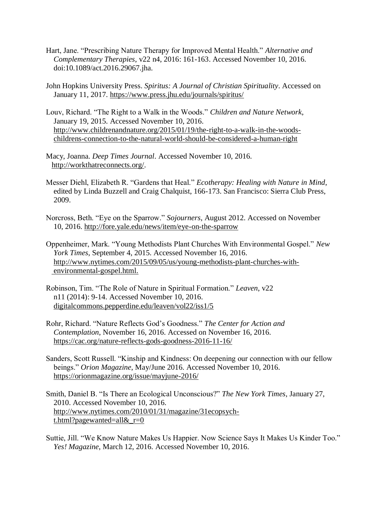- Hart, Jane. "Prescribing Nature Therapy for Improved Mental Health." *Alternative and Complementary Therapies*, v22 n4, 2016: 161-163. Accessed November 10, 2016. doi:10.1089/act.2016.29067.jha.
- John Hopkins University Press. *Spiritus: A Journal of Christian Spirituality*. Accessed on January 11, 2017.<https://www.press.jhu.edu/journals/spiritus/>
- Louv, Richard. "The Right to a Walk in the Woods." *Children and Nature Network*, January 19, 2015. Accessed November 10, 2016. [http://www.childrenandnature.org/2015/01/19/the-right-to-a-walk-in-the-woods](http://www.childrenandnature.org/2015/01/19/the-right-to-a-walk-in-the-woods-childrens-connection-to-the-natural-world-should-be-considered-a-human-right/) [childrens-connection-to-the-natural-world-should-be-considered-a-human-right](http://www.childrenandnature.org/2015/01/19/the-right-to-a-walk-in-the-woods-childrens-connection-to-the-natural-world-should-be-considered-a-human-right/)
- Macy, Joanna. *Deep Times Journal*. Accessed November 10, 2016. [http://workthatreconnects.org/.](http://workthatreconnects.org/)
- Messer Diehl, Elizabeth R. "Gardens that Heal." *Ecotherapy: Healing with Nature in Mind*, edited by Linda Buzzell and Craig Chalquist, 166-173. San Francisco: Sierra Club Press, 2009.
- Norcross, Beth. "Eye on the Sparrow." *Sojourners*, August 2012. Accessed on November 10, 2016.<http://fore.yale.edu/news/item/eye-on-the-sparrow>
- Oppenheimer, Mark. "Young Methodists Plant Churches With Environmental Gospel." *New York Times*, September 4, 2015. Accessed November 16, 2016. [http://www.nytimes.com/2015/09/05/us/young-methodists-plant-churches-with](http://www.nytimes.com/2015/09/05/us/young-methodists-plant-churches-with-environmental-gospel.html) [environmental-gospel.html.](http://www.nytimes.com/2015/09/05/us/young-methodists-plant-churches-with-environmental-gospel.html)
- Robinson, Tim. "The Role of Nature in Spiritual Formation." *Leaven*, v22 n11 (2014): 9-14. Accessed November 10, 2016. [digitalcommons.pepperdine.edu/leaven/vol22/iss1/5](http://digitalcommons.pepperdine.edu/leaven/vol22/iss1/5)
- Rohr, Richard. "Nature Reflects God's Goodness." *The Center for Action and Contemplation*, November 16, 2016. Accessed on November 16, 2016. <https://cac.org/nature-reflects-gods-goodness-2016-11-16/>
- Sanders, Scott Russell. "Kinship and Kindness: On deepening our connection with our fellow beings." *Orion Magazine*, May/June 2016. Accessed November 10, 2016. <https://orionmagazine.org/issue/mayjune-2016/>
- Smith, Daniel B. "Is There an Ecological Unconscious?" *The New York Times*, January 27, 2010. Accessed November 10, 2016. [http://www.nytimes.com/2010/01/31/magazine/31ecopsych](http://www.nytimes.com/2010/01/31/magazine/31ecopsych-t.html?pagewanted=all&_r=0)  t.html?pagewanted=all $&r=0$
- Suttie, Jill. "We Know Nature Makes Us Happier. Now Science Says It Makes Us Kinder Too." *Yes! Magazine*, March 12, 2016. Accessed November 10, 2016.